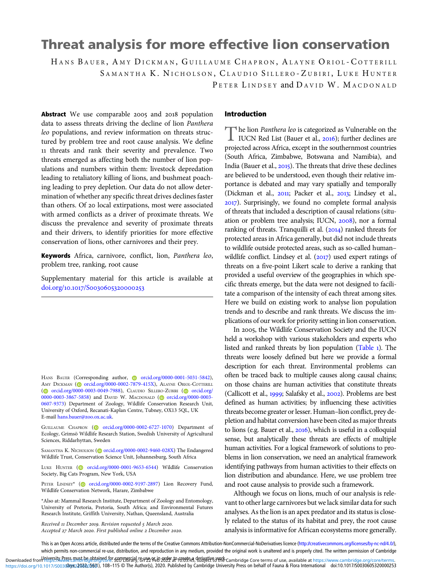# Threat analysis for more effective lion conservation

HANS BAUER, AMY DICKMAN, GUILLAUME CHAPRON, ALAYNE ORIOL-COTTERILL SAMANTHA K. NICHOLSON, CLAUDIO SILLERO-ZUBIRI, LUKE HUNTER PETER LINDSEY and DAVID W. MACDONALD

Abstract We use comparable 2005 and 2018 population data to assess threats driving the decline of lion Panthera leo populations, and review information on threats structured by problem tree and root cause analysis. We define 11 threats and rank their severity and prevalence. Two threats emerged as affecting both the number of lion populations and numbers within them: livestock depredation leading to retaliatory killing of lions, and bushmeat poaching leading to prey depletion. Our data do not allow determination of whether any specific threat drives declines faster than others. Of 20 local extirpations, most were associated with armed conflicts as a driver of proximate threats. We discuss the prevalence and severity of proximate threats and their drivers, to identify priorities for more effective conservation of lions, other carnivores and their prey.

Keywords Africa, carnivore, conflict, lion, Panthera leo, problem tree, ranking, root cause

Supplementary material for this article is available at doi.org/10.1017/S0030605320000253

HANS BAUER (Corresponding author, corred.org/0000-0001-5031-5842), AMY DICKMAN [\(](https://orcid.org)@ [orcid.org/0000-0002-7879-415X\)](https://orcid.org/0000-0002-7879-415X), ALAYNE ORIOL-COTTERILL [\(](https://orcid.org) [orcid.org/0000-0003-0049-7988](https://orcid.org/0000-0003-0049-7988)), CLAUDIO SILLERO-ZUBIRI ( [orcid.org/](https://orcid.org/0000-0003-3867-5858) [0000-0003-3867-5858](https://orcid.org/0000-0003-3867-5858)) and DAVID W. MACDONALD ( [orcid.org/0000-0003-](https://orcid.org/0000-0003-0607-9373) [0607-9373](https://orcid.org/0000-0003-0607-9373)) Department of Zoology, Wildlife Conservation Research Unit, University of Oxford, Recanati-Kaplan Centre, Tubney, OX13 5QL, UK E-mail [hans.bauer@zoo.ox.ac.uk.](mailto:hans.bauer@zoo.ox.ac.uk)

GUILLAUME CHAPRON (O [orcid.org/0000-0002-6727-1070](https://orcid.org/0000-0002-6727-1070)) Department of Ecology, Grimsö Wildlife Research Station, Swedish University of Agricultural Sciences, Riddarhyttan, Sweden

SAMANTHA K. NICHOLSON [\(](https://orcid.org)@ [orcid.org/0000-0002-9460-028X](https://orcid.org/0000-0002-9460-028X)) The Endangered Wildlife Trust, Conservation Science Unit, Johannesburg, South Africa

LUKE HUNTER [\(](https://orcid.org)<sup>O</sup> [orcid.org/0000-0001-9653-6544\)](https://orcid.org/0000-0001-9653-6544) Wildlife Conservation Society, Big Cats Program, New York, USA

PETER LINDSEY\* (Co [orcid.org/0000-0002-9197-2897](https://orcid.org/0000-0002-9197-2897)) Lion Recovery Fund, Wildlife Conservation Network, Harare, Zimbabwe

\*Also at: Mammal Research Institute, Department of Zoology and Entomology, University of Pretoria, Pretoria, South Africa; and Environmental Futures Research Institute, Griffith University, Nathan, Queensland, Australia

Received 11 December 2019. Revision requested 5 March 2020. Accepted 27 March 2020. First published online 2 December 2020.

# Introduction

The lion *Panthera leo* is categorized as Vulnerable on the IUCN Red List (Bauer et al., 2016); further declines are projected across Africa, except in the southernmost countries (South Africa, Zimbabwe, Botswana and Namibia), and India (Bauer et al.,  $2015$ ). The threats that drive these declines are believed to be understood, even though their relative importance is debated and may vary spatially and temporally (Dickman et al., 2011; Packer et al., 2013; Lindsey et al., ). Surprisingly, we found no complete formal analysis of threats that included a description of causal relations (situation or problem tree analysis; IUCN, 2008), nor a formal ranking of threats. Tranquilli et al. (2014) ranked threats for protected areas in Africa generally, but did not include threats to wildlife outside protected areas, such as so-called human– wildlife conflict. Lindsey et al.  $(2017)$  used expert ratings of threats on a five-point Likert scale to derive a ranking that provided a useful overview of the geographies in which specific threats emerge, but the data were not designed to facilitate a comparison of the intensity of each threat among sites. Here we build on existing work to analyse lion population trends and to describe and rank threats. We discuss the implications of our work for priority setting in lion conservation.

In 2005, the Wildlife Conservation Society and the IUCN held a workshop with various stakeholders and experts who listed and ranked threats by lion population ([Table](#page-1-0) ). The threats were loosely defined but here we provide a formal description for each threat. Environmental problems can often be traced back to multiple causes along causal chains; on those chains are human activities that constitute threats (Callicott et al., 1999; Salafsky et al., 2002). Problems are best defined as human activities; by influencing these activities threats become greater or lesser. Human–lion conflict, prey depletion and habitat conversion have been cited as major threats to lions (e.g. Bauer et al., 2016), which is useful in a colloquial sense, but analytically these threats are effects of multiple human activities. For a logical framework of solutions to problems in lion conservation, we need an analytical framework identifying pathways from human activities to their effects on lion distribution and abundance. Here, we use problem tree and root cause analysis to provide such a framework.

Although we focus on lions, much of our analysis is relevant to other large carnivores but we lack similar data for such analyses. As the lion is an apex predator and its status is closely related to the status of its habitat and prey, the root cause analysis is informative for African ecosystems more generally.

This is an Open Access article, distributed under the terms of the Creative Commons Attribution-NonCommercial-NoDerivatives licence [\(http://creativecommons.org/licenses/by-nc-nd/4.0/\)](http://creativecommons.org/licenses/by-nc-nd/4.0/), which permits non-commercial re-use, distribution, and reproduction in any medium, provided the original work is unaltered and is properly cited. The written permission of Cambridge

Downloaded fron<sup>U</sup>ll\tess!w.kress.thith.he.ektained.fer seonmercial, /Brl 29 Peb 2012 12 16093543, Stibjett't avent Cambridge Core terms of use, available at <https://www.cambridge.org/core/terms>. https://doi.org/10.1017/S00300y%22022/D56(1), 108-115 © The Author(s), 2020. Published by Cambridge University Press on behalf of Fauna & Flora International doi:10.1017/S0030605320000253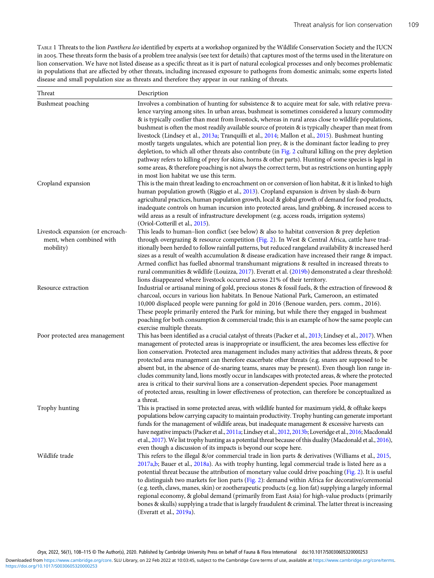<span id="page-1-0"></span>TABLE 1 Threats to the lion Panthera leo identified by experts at a workshop organized by the Wildlife Conservation Society and the IUCN in 2005. These threats form the basis of a problem tree analysis (see text for details) that captures most of the terms used in the literature on lion conservation. We have not listed disease as a specific threat as it is part of natural ecological processes and only becomes problematic in populations that are affected by other threats, including increased exposure to pathogens from domestic animals; some experts listed disease and small population size as threats and therefore they appear in our ranking of threats.

| Threat                                                                     | Description                                                                                                                                                                                                                                                                                                                                                                                                                                                                                                                                                                                                                                                                                                                                                                                                                                                                                                                                                                                               |
|----------------------------------------------------------------------------|-----------------------------------------------------------------------------------------------------------------------------------------------------------------------------------------------------------------------------------------------------------------------------------------------------------------------------------------------------------------------------------------------------------------------------------------------------------------------------------------------------------------------------------------------------------------------------------------------------------------------------------------------------------------------------------------------------------------------------------------------------------------------------------------------------------------------------------------------------------------------------------------------------------------------------------------------------------------------------------------------------------|
| Bushmeat poaching                                                          | Involves a combination of hunting for subsistence & to acquire meat for sale, with relative preva-<br>lence varying among sites. In urban areas, bushmeat is sometimes considered a luxury commodity<br>& is typically costlier than meat from livestock, whereas in rural areas close to wildlife populations,<br>bushmeat is often the most readily available source of protein & is typically cheaper than meat from<br>livestock (Lindsey et al., 2013a; Tranquilli et al., 2014; Mallon et al., 2015). Bushmeat hunting<br>mostly targets ungulates, which are potential lion prey, & is the dominant factor leading to prey<br>depletion, to which all other threats also contribute (in Fig. 2 cultural killing on the prey depletion<br>pathway refers to killing of prey for skins, horns & other parts). Hunting of some species is legal in<br>some areas, & therefore poaching is not always the correct term, but as restrictions on hunting apply<br>in most lion habitat we use this term. |
| Cropland expansion                                                         | This is the main threat leading to encroachment on or conversion of lion habitat, & it is linked to high<br>human population growth (Riggio et al., 2013). Cropland expansion is driven by slash-&-burn<br>agricultural practices, human population growth, local & global growth of demand for food products,<br>inadequate controls on human incursion into protected areas, land grabbing, & increased access to<br>wild areas as a result of infrastructure development (e.g. access roads, irrigation systems)<br>(Oriol-Cotterill et al., 2015).                                                                                                                                                                                                                                                                                                                                                                                                                                                    |
| Livestock expansion (or encroach-<br>ment, when combined with<br>mobility) | This leads to human-lion conflict (see below) & also to habitat conversion & prey depletion<br>through overgrazing & resource competition (Fig. 2). In West & Central Africa, cattle have trad-<br>itionally been herded to follow rainfall patterns, but reduced rangeland availability & increased herd<br>sizes as a result of wealth accumulation & disease eradication have increased their range & impact.<br>Armed conflict has fuelled abnormal transhumant migrations & resulted in increased threats to<br>rural communities & wildlife (Louizza, 2017). Everatt et al. (2019b) demonstrated a clear threshold:<br>lions disappeared where livestock occurred across 21% of their territory.                                                                                                                                                                                                                                                                                                    |
| Resource extraction                                                        | Industrial or artisanal mining of gold, precious stones & fossil fuels, & the extraction of firewood &<br>charcoal, occurs in various lion habitats. In Benoue National Park, Cameroon, an estimated<br>10,000 displaced people were panning for gold in 2016 (Benoue warden, pers. comm., 2016).<br>These people primarily entered the Park for mining, but while there they engaged in bushmeat<br>poaching for both consumption & commercial trade; this is an example of how the same people can<br>exercise multiple threats.                                                                                                                                                                                                                                                                                                                                                                                                                                                                        |
| Poor protected area management                                             | This has been identified as a crucial catalyst of threats (Packer et al., 2013; Lindsey et al., 2017). When<br>management of protected areas is inappropriate or insufficient, the area becomes less effective for<br>lion conservation. Protected area management includes many activities that address threats, & poor<br>protected area management can therefore exacerbate other threats (e.g. snares are supposed to be<br>absent but, in the absence of de-snaring teams, snares may be present). Even though lion range in-<br>cludes community land, lions mostly occur in landscapes with protected areas, & where the protected<br>area is critical to their survival lions are a conservation-dependent species. Poor management<br>of protected areas, resulting in lower effectiveness of protection, can therefore be conceptualized as<br>a threat.                                                                                                                                        |
| Trophy hunting                                                             | This is practised in some protected areas, with wildlife hunted for maximum yield, & offtake keeps<br>populations below carrying capacity to maintain productivity. Trophy hunting can generate important<br>funds for the management of wildlife areas, but inadequate management & excessive harvests can<br>have negative impacts (Packer et al., 2011a; Lindsey et al., 2012, 2013b; Loveridge et al., 2016; Macdonald<br>et al., 2017). We list trophy hunting as a potential threat because of this duality (Macdonald et al., 2016),<br>even though a discussion of its impacts is beyond our scope here.                                                                                                                                                                                                                                                                                                                                                                                          |
| Wildlife trade                                                             | This refers to the illegal &/or commercial trade in lion parts & derivatives (Williams et al., 2015,<br>2017a,b; Bauer et al., 2018a). As with trophy hunting, legal commercial trade is listed here as a<br>potential threat because the attribution of monetary value could drive poaching (Fig. 2). It is useful<br>to distinguish two markets for lion parts (Fig. 2): demand within Africa for decorative/ceremonial<br>(e.g. teeth, claws, manes, skin) or zootherapeutic products (e.g. lion fat) supplying a largely informal<br>regional economy, & global demand (primarily from East Asia) for high-value products (primarily<br>bones & skulls) supplying a trade that is largely fraudulent & criminal. The latter threat is increasing<br>(Everatt et al., 2019a).                                                                                                                                                                                                                          |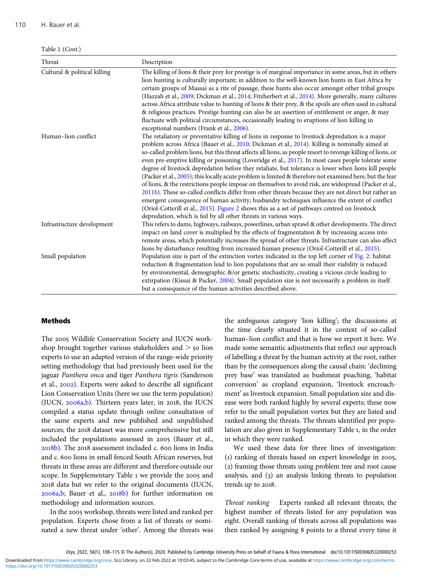Table 1 (Cont.)

| Threat                       | Description                                                                                                                                                                                                                                                                                                                                                                                                                                                                                                                                                                                                                                                                                                                                                                                                                                                                                                                                                                                                                                                                                                                           |
|------------------------------|---------------------------------------------------------------------------------------------------------------------------------------------------------------------------------------------------------------------------------------------------------------------------------------------------------------------------------------------------------------------------------------------------------------------------------------------------------------------------------------------------------------------------------------------------------------------------------------------------------------------------------------------------------------------------------------------------------------------------------------------------------------------------------------------------------------------------------------------------------------------------------------------------------------------------------------------------------------------------------------------------------------------------------------------------------------------------------------------------------------------------------------|
| Cultural & political killing | The killing of lions & their prey for prestige is of marginal importance in some areas, but in others<br>lion hunting is culturally important; in addition to the well-known lion hunts in East Africa by<br>certain groups of Maasai as a rite of passage, these hunts also occur amongst other tribal groups<br>(Hazzah et al., 2009; Dickman et al., 2014; Fitzherbert et al., 2014). More generally, many cultures<br>across Africa attribute value to hunting of lions & their prey, & the spoils are often used in cultural<br>& religious practices. Prestige hunting can also be an assertion of entitlement or anger, & may<br>fluctuate with political circumstances, occasionally leading to eruptions of lion killing in<br>exceptional numbers (Frank et al., 2006).                                                                                                                                                                                                                                                                                                                                                     |
| Human-lion conflict          | The retaliatory or preventative killing of lions in response to livestock depredation is a major<br>problem across Africa (Bauer et al., 2010; Dickman et al., 2014). Killing is nominally aimed at<br>so-called problem lions, but this threat affects all lions, as people resort to revenge killing of lions, or<br>even pre-emptive killing or poisoning (Loveridge et al., 2017). In most cases people tolerate some<br>degree of livestock depredation before they retaliate, but tolerance is lower when lions kill people<br>(Packer et al., 2005); this locally acute problem is limited & therefore not examined here, but the fear<br>of lions, & the restrictions people impose on themselves to avoid risk, are widespread (Packer et al.,<br>2011b). These so-called conflicts differ from other threats because they are not direct but rather an<br>emergent consequence of human activity; husbandry techniques influence the extent of conflict<br>(Oriol-Cotterill et al., 2015). Figure 2 shows this as a set of pathways centred on livestock<br>depredation, which is fed by all other threats in various ways. |
| Infrastructure development   | This refers to dams, highways, railways, powerlines, urban sprawl & other developments. The direct<br>impact on land cover is multiplied by the effects of fragmentation & by increasing access into<br>remote areas, which potentially increases the spread of other threats. Infrastructure can also affect<br>lions by disturbance resulting from increased human presence (Oriol-Cotterill et al., 2015).                                                                                                                                                                                                                                                                                                                                                                                                                                                                                                                                                                                                                                                                                                                         |
| Small population             | Population size is part of the extinction vortex indicated in the top left corner of Fig. 2: habitat<br>reduction & fragmentation lead to lion populations that are so small their viability is reduced<br>by environmental, demographic &/or genetic stochasticity, creating a vicious circle leading to<br>extirpation (Kissui & Packer, 2004). Small population size is not necessarily a problem in itself<br>but a consequence of the human activities described above.                                                                                                                                                                                                                                                                                                                                                                                                                                                                                                                                                                                                                                                          |

### Methods

The 2005 Wildlife Conservation Society and IUCN workshop brought together various stakeholders and  $>$  50 lion experts to use an adapted version of the range-wide priority setting methodology that had previously been used for the jaguar Panthera onca and tiger Panthera tigris (Sanderson et al., 2002). Experts were asked to describe all significant Lion Conservation Units (here we use the term population) (IUCN,  $2006a,b$ ). Thirteen years later, in  $2018$ , the IUCN compiled a status update through online consultation of the same experts and new published and unpublished sources; the 2018 dataset was more comprehensive but still included the populations assessed in 2005 (Bauer et al.,  $2018b$ ). The  $2018$  assessment included c. 600 lions in India and c. 600 lions in small fenced South African reserves, but threats in these areas are different and therefore outside our scope. In Supplementary Table 1 we provide the 2005 and 2018 data but we refer to the original documents (IUCN,  $2006a,b$ ; Bauer et al.,  $2018b$ ) for further information on methodology and information sources.

In the 2005 workshop, threats were listed and ranked per population. Experts chose from a list of threats or nominated a new threat under 'other'. Among the threats was the ambiguous category 'lion killing'; the discussions at the time clearly situated it in the context of so-called human–lion conflict and that is how we report it here. We made some semantic adjustments that reflect our approach of labelling a threat by the human activity at the root, rather than by the consequences along the causal chain: 'declining prey base' was translated as bushmeat poaching, 'habitat conversion' as cropland expansion, 'livestock encroachment' as livestock expansion. Small population size and disease were both ranked highly by several experts; these now refer to the small population vortex but they are listed and ranked among the threats. The threats identified per population are also given in Supplementary Table 1, in the order in which they were ranked.

We used these data for three lines of investigation: (1) ranking of threats based on expert knowledge in 2005, (2) framing those threats using problem tree and root cause analysis, and (3) an analysis linking threats to population trends up to 2018.

Threat ranking Experts ranked all relevant threats; the highest number of threats listed for any population was eight. Overall ranking of threats across all populations was then ranked by assigning 8 points to a threat every time it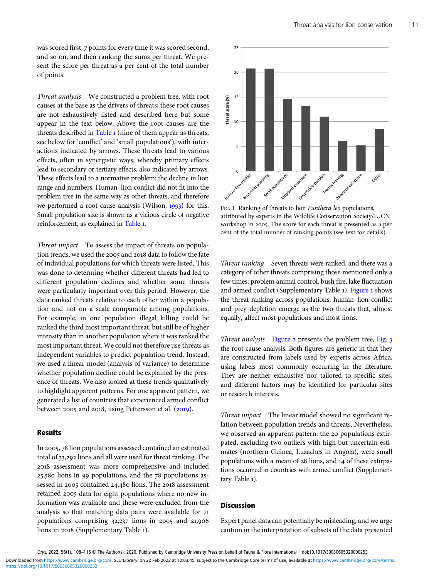was scored first, 7 points for every time it was scored second, and so on, and then ranking the sums per threat. We present the score per threat as a per cent of the total number of points.

Threat analysis We constructed a problem tree, with root causes at the base as the drivers of threats; these root causes are not exhaustively listed and described here but some appear in the text below. Above the root causes are the threats described in  $Table 1$  $Table 1$  (nine of them appear as threats, see below for 'conflict' and 'small populations'), with interactions indicated by arrows. These threats lead to various effects, often in synergistic ways, whereby primary effects lead to secondary or tertiary effects, also indicated by arrows. These effects lead to a normative problem: the decline in lion range and numbers. Human–lion conflict did not fit into the problem tree in the same way as other threats, and therefore we performed a root cause analysis (Wilson,  $1993$ ) for this. Small population size is shown as a vicious circle of negative reinforcement, as explained in [Table](#page-1-0) 1.

Threat impact To assess the impact of threats on population trends, we used the 2005 and 2018 data to follow the fate of individual populations for which threats were listed. This was done to determine whether different threats had led to different population declines and whether some threats were particularly important over this period. However, the data ranked threats relative to each other within a population and not on a scale comparable among populations. For example, in one population illegal killing could be ranked the third most important threat, but still be of higher intensity than in another population where it was ranked the most important threat. We could not therefore use threats as independent variables to predict population trend. Instead, we used a linear model (analysis of variance) to determine whether population decline could be explained by the presence of threats. We also looked at these trends qualitatively to highlight apparent patterns. For one apparent pattern, we generated a list of countries that experienced armed conflict between 2005 and 2018, using Pettersson et al.  $(2019)$ .

# Results

In 2005, 78 lion populations assessed contained an estimated total of 33,292 lions and all were used for threat ranking. The assessment was more comprehensive and included  $25,580$  lions in 99 populations, and the  $78$  populations assessed in 2005 contained 24,480 lions. The 2018 assessment retained 2005 data for eight populations where no new information was available and these were excluded from the analysis so that matching data pairs were available for 71 populations comprising 32,237 lions in 2005 and 21,906 lions in 2018 (Supplementary Table 1).



FIG. 1 Ranking of threats to lion Panthera leo populations, attributed by experts in the Wildlife Conservation Society/IUCN workshop in 2005. The score for each threat is presented as a per cent of the total number of ranking points (see text for details).

Threat ranking Seven threats were ranked, and there was a category of other threats comprising those mentioned only a few times: problem animal control, bush fire, lake fluctuation and armed conflict (Supplementary Table 1). Figure 1 shows the threat ranking across populations; human–lion conflict and prey depletion emerge as the two threats that, almost equally, affect most populations and most lions.

Threat analysis [Figure](#page-4-0) 2 presents the problem tree, [Fig.](#page-4-0) 3 the root cause analysis. Both figures are generic in that they are constructed from labels used by experts across Africa, using labels most commonly occurring in the literature. They are neither exhaustive nor tailored to specific sites, and different factors may be identified for particular sites or research interests.

Threat impact The linear model showed no significant relation between population trends and threats. Nevertheless, we observed an apparent pattern: the 20 populations extirpated, excluding two outliers with high but uncertain estimates (northern Guinea, Luzaches in Angola), were small populations with a mean of 28 lions, and 14 of these extirpations occurred in countries with armed conflict (Supplementary Table ).

#### **Discussion**

Expert panel data can potentially be misleading, and we urge caution in the interpretation of subsets of the data presented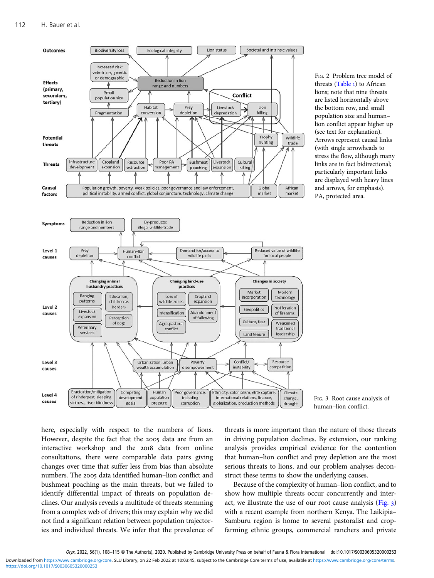<span id="page-4-0"></span>

FIG. 2 Problem tree model of threats ([Table](#page-1-0) 1) to African lions; note that nine threats are listed horizontally above the bottom row, and small population size and human– lion conflict appear higher up (see text for explanation). Arrows represent causal links (with single arrowheads to stress the flow, although many links are in fact bidirectional; particularly important links are displayed with heavy lines and arrows, for emphasis). PA, protected area.

FIG. 3 Root cause analysis of human–lion conflict.

here, especially with respect to the numbers of lions. However, despite the fact that the 2005 data are from an interactive workshop and the 2018 data from online consultations, there were comparable data pairs giving changes over time that suffer less from bias than absolute numbers. The 2005 data identified human-lion conflict and bushmeat poaching as the main threats, but we failed to identify differential impact of threats on population declines. Our analysis reveals a multitude of threats stemming from a complex web of drivers; this may explain why we did not find a significant relation between population trajectories and individual threats. We infer that the prevalence of threats is more important than the nature of those threats in driving population declines. By extension, our ranking analysis provides empirical evidence for the contention that human–lion conflict and prey depletion are the most serious threats to lions, and our problem analyses deconstruct these terms to show the underlying causes.

Because of the complexity of human–lion conflict, and to show how multiple threats occur concurrently and interact, we illustrate the use of our root cause analysis  $(Fig. 3)$ with a recent example from northern Kenya. The Laikipia– Samburu region is home to several pastoralist and cropfarming ethnic groups, commercial ranchers and private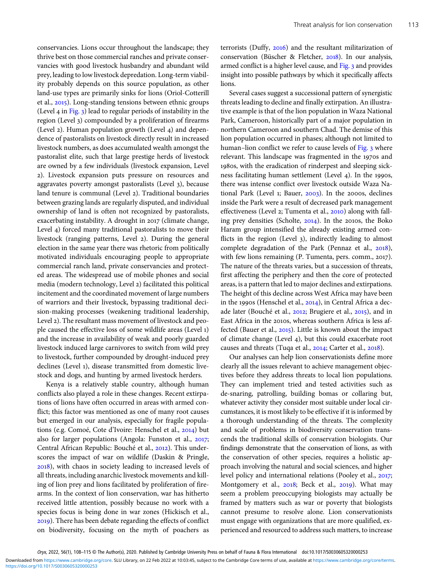conservancies. Lions occur throughout the landscape; they thrive best on those commercial ranches and private conservancies with good livestock husbandry and abundant wild prey, leading to low livestock depredation. Long-term viability probably depends on this source population, as other land-use types are primarily sinks for lions (Oriol-Cotterill et al., 2015). Long-standing tensions between ethnic groups (Level  $4$  in [Fig.](#page-4-0) 3) lead to regular periods of instability in the region (Level 3) compounded by a proliferation of firearms (Level 2). Human population growth (Level 4) and dependence of pastoralists on livestock directly result in increased livestock numbers, as does accumulated wealth amongst the pastoralist elite, such that large prestige herds of livestock are owned by a few individuals (livestock expansion, Level ). Livestock expansion puts pressure on resources and aggravates poverty amongst pastoralists (Level 3), because land tenure is communal (Level 2). Traditional boundaries between grazing lands are regularly disputed, and individual ownership of land is often not recognized by pastoralists, exacerbating instability. A drought in 2017 (climate change, Level 4) forced many traditional pastoralists to move their livestock (ranging patterns, Level 2). During the general election in the same year there was rhetoric from politically motivated individuals encouraging people to appropriate commercial ranch land, private conservancies and protected areas. The widespread use of mobile phones and social media (modern technology, Level 2) facilitated this political incitement and the coordinated movement of large numbers of warriors and their livestock, bypassing traditional decision-making processes (weakening traditional leadership, Level 2). The resultant mass movement of livestock and people caused the effective loss of some wildlife areas (Level 1) and the increase in availability of weak and poorly guarded livestock induced large carnivores to switch from wild prey to livestock, further compounded by drought-induced prey declines (Level ), disease transmitted from domestic livestock and dogs, and hunting by armed livestock herders.

Kenya is a relatively stable country, although human conflicts also played a role in these changes. Recent extirpations of lions have often occurred in areas with armed conflict; this factor was mentioned as one of many root causes but emerged in our analysis, especially for fragile populations (e.g. Comoé, Cote d'Ivoire: Henschel et al., 2014) but also for larger populations (Angola: Funston et al., 2017; Central African Republic: Bouché et al., 2012). This underscores the impact of war on wildlife (Daskin & Pringle, ), with chaos in society leading to increased levels of all threats, including anarchic livestock movements and killing of lion prey and lions facilitated by proliferation of firearms. In the context of lion conservation, war has hitherto received little attention, possibly because no work with a species focus is being done in war zones (Hickisch et al., ). There has been debate regarding the effects of conflict on biodiversity, focusing on the myth of poachers as terrorists (Duffy,  $2016$ ) and the resultant militarization of conservation (Büscher & Fletcher, 2018). In our analysis, armed conflict is a higher level cause, and [Fig.](#page-4-0) 3 and provides insight into possible pathways by which it specifically affects lions.

Several cases suggest a successional pattern of synergistic threats leading to decline and finally extirpation. An illustrative example is that of the lion population in Waza National Park, Cameroon, historically part of a major population in northern Cameroon and southern Chad. The demise of this lion population occurred in phases; although not limited to human–lion conflict we refer to cause levels of [Fig.](#page-4-0) 3 where relevant. This landscape was fragmented in the 1970s and 1980s, with the eradication of rinderpest and sleeping sickness facilitating human settlement (Level  $4$ ). In the 1990s, there was intense conflict over livestock outside Waza National Park (Level 1; Bauer,  $2003$ ). In the 2000s, declines inside the Park were a result of decreased park management effectiveness (Level 2; Tumenta et al.,  $2010$ ) along with falling prey densities (Scholte,  $2014$ ). In the 2010s, the Boko Haram group intensified the already existing armed conflicts in the region (Level 3), indirectly leading to almost complete degradation of the Park (Pennaz et al.,  $2018$ ), with few lions remaining (P. Tumenta, pers. comm., 2017). The nature of the threats varies, but a succession of threats, first affecting the periphery and then the core of protected areas, is a pattern that led to major declines and extirpations. The height of this decline across West Africa may have been in the 1990s (Henschel et al.,  $2014$ ), in Central Africa a decade later (Bouché et al., 2012; Brugiere et al., 2015), and in East Africa in the 2010s, whereas southern Africa is less affected (Bauer et al.,  $2015$ ). Little is known about the impact of climate change (Level 4), but this could exacerbate root causes and threats (Tuqa et al., 2014; Carter et al., 2018).

Our analyses can help lion conservationists define more clearly all the issues relevant to achieve management objectives before they address threats to local lion populations. They can implement tried and tested activities such as de-snaring, patrolling, building bomas or collaring but, whatever activity they consider most suitable under local circumstances, it is most likely to be effective if it is informed by a thorough understanding of the threats. The complexity and scale of problems in biodiversity conservation transcends the traditional skills of conservation biologists. Our findings demonstrate that the conservation of lions, as with the conservation of other species, requires a holistic approach involving the natural and social sciences, and higher level policy and international relations (Pooley et al., 2017; Montgomery et al., 2018; Beck et al., 2019). What may seem a problem preoccupying biologists may actually be framed by matters such as war or poverty that biologists cannot presume to resolve alone. Lion conservationists must engage with organizations that are more qualified, experienced and resourced to address such matters, to increase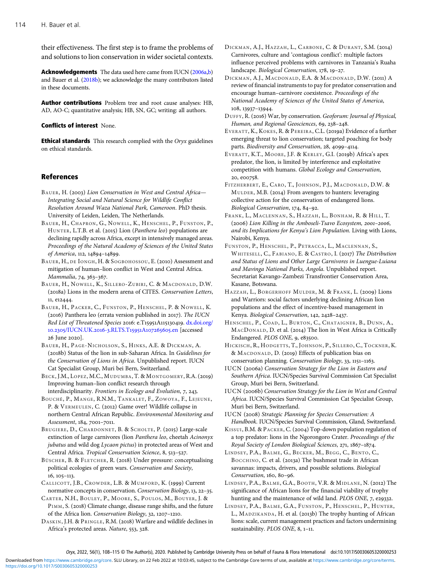<span id="page-6-0"></span>their effectiveness. The first step is to frame the problems of and solutions to lion conservation in wider societal contexts.

**Acknowledgements** The data used here came from IUCN (2006a,b) and Bauer et al. (2018b); we acknowledge the many contributors listed in these documents.

Author contributions Problem tree and root cause analyses: HB, AD, AO-C; quantitative analysis; HB, SN, GC; writing: all authors.

#### Conflicts of interest None.

**Ethical standards** This research complied with the Oryx guidelines on ethical standards.

#### References

- BAUER, H. (2003) Lion Conservation in West and Central Africa-Integrating Social and Natural Science for Wildlife Conflict Resolution Around Waza National Park, Cameroon. PhD thesis. University of Leiden, Leiden, The Netherlands.
- BAUER, H., CHAPRON, G., NOWELL, K., HENSCHEL, P., FUNSTON, P., HUNTER, L.T.B. et al. (2015) Lion (Panthera leo) populations are declining rapidly across Africa, except in intensively managed areas. Proceedings of the Natural Academy of Sciences of the United States of America, 112, 14894-14899.
- BAUER, H., DE IONGH, H. & SOGBOHOSSOU, E. (2010) Assessment and mitigation of human–lion conflict in West and Central Africa. Mammalia, 74, 363-367.
- BAUER, H., NOWELL, K., SILLERO-ZUBIRI, C. & MACDONALD, D.W. (2018a) Lions in the modern arena of CITES. Conservation Letters, 11, e12444.
- BAUER, H., PACKER, C., FUNSTON, P., HENSCHEL, P. & NOWELL, K. (2016) Panthera leo (errata version published in 2017). The IUCN Red List of Threatened Species 2016: e.T15951A115130419. [dx.doi.org/](https://dx.doi.org/10.2305/IUCN.UK.2016-3.RLTS.T15951A107265605.en) 10.2305[/IUCN.UK.](https://dx.doi.org/10.2305/IUCN.UK.2016-3.RLTS.T15951A107265605.en)2016-3.RLTS.T15951A107265605.en [accessed 26 June 2020].
- BAUER, H., PAGE-NICHOLSON, S., HINKS, A.E. & DICKMAN, A. (2018b) Status of the lion in sub-Saharan Africa. In Guidelines for the Conservation of Lions in Africa. Unpublished report. IUCN Cat Specialist Group, Muri bei Bern, Switzerland.
- BECK, J.M., LOPEZ, M.C., MUDUMBA, T. & MONTGOMERY, R.A. (2019) Improving human–lion conflict research through interdisciplinarity. Frontiers in Ecology and Evolution, 7, 243.
- BOUCHÉ, P., MANGE, R.N.M., TANKALET, F., ZOWOYA, F., LEJEUNE, P. & VERMEULEN, C. (2012) Game over! Wildlife collapse in northern Central African Republic. Environmental Monitoring and Assessment, 184, 7001-7011.
- BRUGIERE, D., CHARDONNET, B. & SCHOLTE, P. (2015) Large-scale extinction of large carnivores (lion Panthera leo, cheetah Acinonyx jubatus and wild dog Lycaon pictus) in protected areas of West and Central Africa. Tropical Conservation Science, 8, 513-527.
- BÜSCHER, B. & FLETCHER, R. (2018) Under pressure: conceptualising political ecologies of green wars. Conservation and Society,  $16, 105 - 113.$
- CALLICOTT, J.B., CROWDER, L.B. & MUMFORD, K. (1999) Current normative concepts in conservation. Conservation Biology, 13, 22-35.
- CARTER, N.H., BOULEY, P., MOORE, S., POULOS, M., BOUYER, J. & PIMM, S. (2018) Climate change, disease range shifts, and the future of the Africa lion. Conservation Biology, 32, 1207-1210.
- DASKIN, J.H. & PRINGLE, R.M. (2018) Warfare and wildlife declines in Africa's protected areas. Nature, 553, 328.
- DICKMAN, A.J., HAZZAH, L., CARBONE, C. & DURANT, S.M. (2014) Carnivores, culture and 'contagious conflict': multiple factors influence perceived problems with carnivores in Tanzania's Ruaha landscape. Biological Conservation, 178, 19-27.
- DICKMAN, A.J., MACDONALD, E.A. & MACDONALD, D.W. (2011) A review of financial instruments to pay for predator conservation and encourage human–carnivore coexistence. Proceedings of the National Academy of Sciences of the United States of America, 108, 13937-13944.
- DUFFY, R. (2016) War, by conservation. Geoforum: Journal of Physical, Human, and Regional Geosciences, 69, 238-248.
- EVERATT, K., KOKES, R. & PEREIRA, C.L. (2019a) Evidence of a further emerging threat to lion conservation; targeted poaching for body parts. Biodiversity and Conservation,  $28, 4099 - 4114$ .
- EVERATT, K.T., MOORE, J.F. & KERLEY, G.I. (2019b) Africa's apex predator, the lion, is limited by interference and exploitative competition with humans. Global Ecology and Conservation, 20, e00758.
- FITZHERBERT, E., CARO, T., JOHNSON, P.J., MACDONALD, D.W. & MULDER, M.B. (2014) From avengers to hunters: leveraging collective action for the conservation of endangered lions. Biological Conservation, 174, 84-92.
- FRANK, L., MACLENNAN, S., HAZZAH, L., BONHAM, R. & HILL, T.  $(2006)$  Lion Killing in the Amboseli-Tsavo Ecosystem, 2001–2006, and its Implications for Kenya's Lion Population. Living with Lions, Nairobi, Kenya.
- FUNSTON, P., HENSCHEL, P., PETRACCA, L., MACLENNAN, S., WHITESELL, C., FABIANO, E. & CASTRO, I. (2017) The Distribution and Status of Lions and Other Large Carnivores in Luengue-Luiana and Mavinga National Parks, Angola. Unpublished report. Secretariat Kavango-Zambezi Transfrontier Conservation Area, Kasane, Botswana.
- HAZZAH, L., BORGERHOFF MULDER, M. & FRANK, L. (2009) Lions and Warriors: social factors underlying declining African lion populations and the effect of incentive-based management in Kenya. Biological Conservation, 142, 2428-2437.
- HENSCHEL, P., COAD, L., BURTON, C., CHATAIGNER, B., DUNN, A., MACDONALD, D. et al. (2014) The lion in West Africa is Critically Endangered. PLOS ONE, 9, e83500.
- HICKISCH, R., HODGETTS, T., JOHNSON, P., SILLERO, C., TOCKNER, K. & MACDONALD, D. (2019) Effects of publication bias on conservation planning. Conservation Biology, 33, 1151-1163.
- IUCN (2006a) Conservation Strategy for the Lion in Eastern and Southern Africa. IUCN/Species Survival Commission Cat Specialist Group, Muri bei Bern, Switzerland.
- IUCN (2006b) Conservation Strategy for the Lion in West and Central Africa. IUCN/Species Survival Commission Cat Specialist Group, Muri bei Bern, Switzerland.
- IUCN (2008) Strategic Planning for Species Conservation: A Handbook. IUCN/Species Survival Commission, Gland, Switzerland.
- KISSUI, B.M. & PACKER, C. (2004) Top-down population regulation of a top predator: lions in the Ngorongoro Crater. Proceedings of the Royal Society of London Biological Sciences, 271, 1867-1874.
- LINDSEY, P.A., BALME, G., BECKER, M., BEGG, C., BENTO, C., BOCCHINO, C. et al. (2013a) The bushmeat trade in African savannas: impacts, drivers, and possible solutions. Biological Conservation, 160, 80-96.
- LINDSEY, P.A., BALME, G.A., BOOTH, V.R. & MIDLANE, N. (2012) The significance of African lions for the financial viability of trophy hunting and the maintenance of wild land. PLOS ONE, 7, e29332.
- LINDSEY, P.A., BALME, G.A., FUNSTON, P., HENSCHEL, P., HUNTER, L., MADZIKANDA, H. et al. (2013b) The trophy hunting of African lions: scale, current management practices and factors undermining sustainability. PLOS ONE, 8, 1-11.